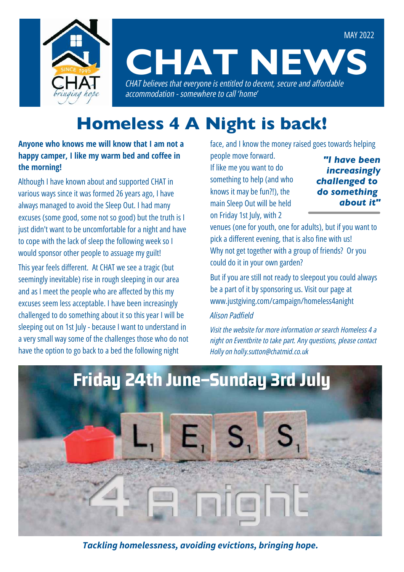

# **CHAT NEW** *CHAT believes that everyone is entitled to decent, secure and affordable*

*accommodation - somewhere to call 'home'*

## Homeless 4 A Night is back!

**Anyone who knows me will know that I am not a happy camper, I like my warm bed and coffee in the morning!** 

Although I have known about and supported CHAT in various ways since it was formed 26 years ago, I have always managed to avoid the Sleep Out. I had many excuses (some good, some not so good) but the truth is I just didn't want to be uncomfortable for a night and have to cope with the lack of sleep the following week so I would sponsor other people to assuage my guilt! This year feels different. At CHAT we see a tragic (but

seemingly inevitable) rise in rough sleeping in our area and as I meet the people who are affected by this my excuses seem less acceptable. I have been increasingly challenged to do something about it so this year I will be sleeping out on 1st July - because I want to understand in a very small way some of the challenges those who do not have the option to go back to a bed the following night

face, and I know the money raised goes towards helping

people move forward. If like me you want to do something to help (and who knows it may be fun?!), the main Sleep Out will be held on Friday 1st July, with 2

*"I have been increasingly challenged to do something about it"*

MAY 2022

venues (one for youth, one for adults), but if you want to pick a different evening, that is also fine with us! Why not get together with a group of friends? Or you could do it in your own garden?

But if you are still not ready to sleepout you could always be a part of it by sponsoring us. Visit our page at www.justgiving.com/campaign/homeless4anight

#### *Alison Padfield*

*Visit the website for more information or search Homeless 4 a night on Eventbrite to take part. Any questions, please contact Holly on holly.sutton@chatmid.co.uk*



*Tackling homelessness, avoiding evictions, bringing hope.*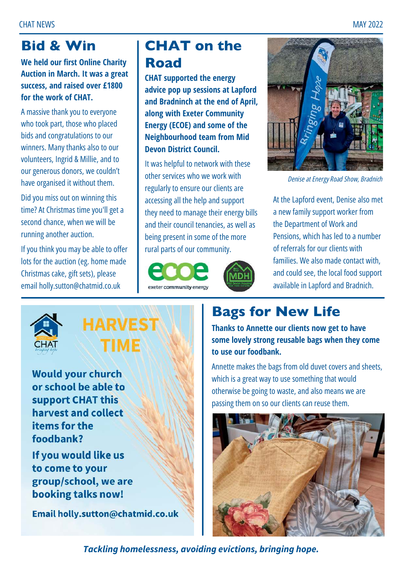### Bid & Win

**We held our first Online Charity Auction in March. It was a great success, and raised over £1800 for the work of CHAT.**

A massive thank you to everyone who took part, those who placed bids and congratulations to our winners. Many thanks also to our volunteers, Ingrid & Millie, and to our generous donors, we couldn't have organised it without them.

Did you miss out on winning this time? At Christmas time you'll get a second chance, when we will be running another auction.

If you think you may be able to offer lots for the auction (eg. home made Christmas cake, gift sets), please email holly.sutton@chatmid.co.uk

### CHAT on the Road

**CHAT supported the energy advice pop up sessions at Lapford and Bradninch at the end of April, along with Exeter Community Energy (ECOE) and some of the Neighbourhood team from Mid Devon District Council.** 

It was helpful to network with these other services who we work with regularly to ensure our clients are accessing all the help and support they need to manage their energy bills and their council tenancies, as well as being present in some of the more rural parts of our community.







*Denise at Energy Road Show, Bradnich*

At the Lapford event, Denise also met a new family support worker from the Department of Work and Pensions, which has led to a number of referrals for our clients with families. We also made contact with, and could see, the local food support available in Lapford and Bradnich.



**HARVEST TIME** 

**Would your church** or school be able to support CHAT this harvest and collect items for the foodbank?

If you would like us to come to your group/school, we are booking talks now!

Email holly.sutton@chatmid.co.uk

### Bags for New Life

**Thanks to Annette our clients now get to have some lovely strong reusable bags when they come to use our foodbank.** 

Annette makes the bags from old duvet covers and sheets, which is a great way to use something that would otherwise be going to waste, and also means we are passing them on so our clients can reuse them.

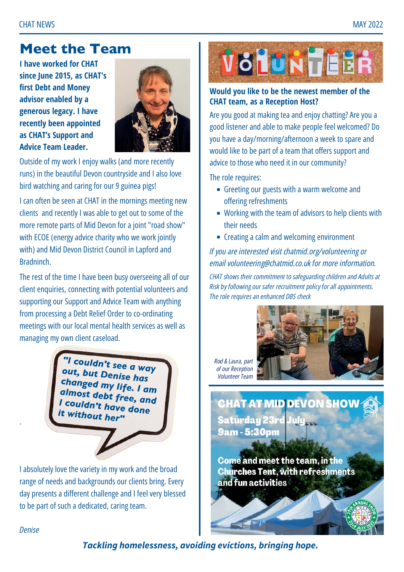#### Meet the Team

**I have worked for CHAT since June 2015, as CHAT's first Debt and Money advisor enabled by a generous legacy. I have recently been appointed as CHAT's Support and Advice Team Leader.** 



Outside of my work I enjoy walks (and more recently runs) in the beautiful Devon countryside and I also love bird watching and caring for our 9 guinea pigs!

I can often be seen at CHAT in the mornings meeting new clients and recently I was able to get out to some of the more remote parts of Mid Devon for a joint "road show" with ECOE (energy advice charity who we work jointly with) and Mid Devon District Council in Lapford and **Bradninch** 

The rest of the time I have been busy overseeing all of our client enquiries, connecting with potential volunteers and supporting our Support and Advice Team with anything from processing a Debt Relief Order to co-ordinating meetings with our local mental health services as well as managing my own client caseload.

> *"I couldn't see a way out, but Denise has changed my life. I am almost debt free, and I couldn't have done it without her"*

I absolutely love the variety in my work and the broad range of needs and backgrounds our clients bring. Every day presents a different challenge and I feel very blessed to be part of such a dedicated, caring team.



#### **Would you like to be the newest member of the CHAT team, as a Reception Host?**

Are you good at making tea and enjoy chatting? Are you a good listener and able to make people feel welcomed? Do you have a day/morning/afternoon a week to spare and would like to be part of a team that offers support and advice to those who need it in our community?

The role requires:

- Greeting our guests with a warm welcome and offering refreshments
- Working with the team of advisors to help clients with their needs
- Creating a calm and welcoming environment

*If you are interested visit [chatmid.org/volunteering](https://chatmid.org/volunteering/contact) or email [volunteering@chatmid.co.uk](mailto:volunteering@chatmid.co.uk)for more information.*

*CHAT shows their commitment to safeguarding children and Adults at Risk by following our safer recruitment policy for all appointments. The role requires an enhanced DBS check*

*Rod & Laura, part of our Reception Volunteer Team*



**CHAT AT MID DEVON SHOW Saturday 23rd July 9am-5:30pm** 

Come and meet the team, in the **Churches Tent, with refreshments** and fun activities

*Denise*

.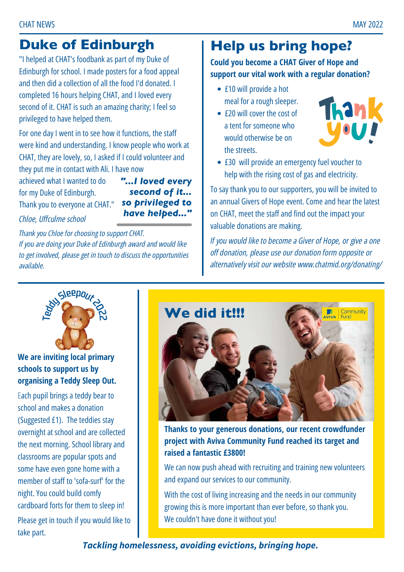### Duke of Edinburgh

"I helped at CHAT's foodbank as part of my Duke of Edinburgh for school. I made posters for a food appeal and then did a collection of all the food I'd donated. I completed 16 hours helping CHAT, and I loved every second of it. CHAT is such an amazing charity; I feel so privileged to have helped them.

For one day I went in to see how it functions, the staff were kind and understanding. I know people who work at CHAT, they are lovely, so, I asked if I could volunteer and they put me in contact with Ali. I have now

achieved what I wanted to do for my Duke of Edinburgh. Thank you to everyone at CHAT."

*"...I loved every second of it... so privileged to have helped..."*

*Chloe, Uffculme school*

*Thank you Chloe for choosing to support CHAT. If you are doing your Duke of Edinburgh award and would like to get involved, please get in touch to discuss the opportunities available.*

#### Help us bring hope?

**Could you become a CHAT Giver of Hope and support our vital work with a regular donation?**

- £10 will provide a hot meal for a rough sleeper.
- £20 will cover the cost of a tent for someone who would otherwise be on the streets.



● £30 will provide an emergency fuel voucher to help with the rising cost of gas and electricity.

To say thank you to our supporters, you will be invited to an annual Givers of Hope event. Come and hear the latest on CHAT, meet the staff and find out the impact your valuable donations are making.

*If you would like to become a Giver of Hope, or give a one off donation, please use our donation form opposite or alternatively visit our website www.chatmid.org/donating/*



**We are inviting local primary schools to support us by organising a Teddy Sleep Out.**

Each pupil brings a teddy bear to school and makes a donation (Suggested £1). The teddies stay overnight at school and are collected the next morning. School library and classrooms are popular spots and some have even gone home with a member of staff to 'sofa-surf' for the night. You could build comfy cardboard forts for them to sleep in!

Please get in touch if you would like to take part.



**Thanks to your generous donations, our recent crowdfunder project with Aviva Community Fund reached its target and raised a fantastic £3800!**

We can now push ahead with recruiting and training new volunteers and expand our services to our community.

With the cost of living increasing and the needs in our community growing this is more important than ever before, so thank you. We couldn't have done it without you!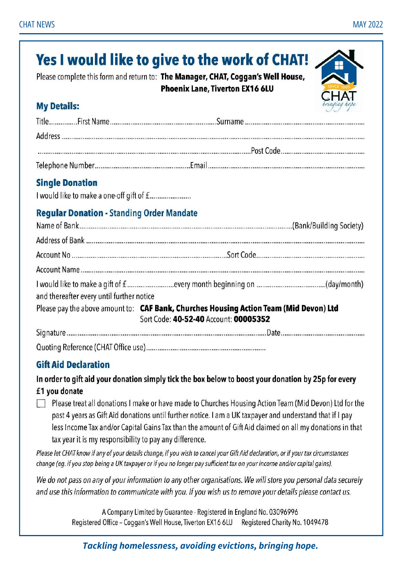#### Yes I would like to give to the work of CHAT! Please complete this form and return to: The Manager, CHAT, Coggan's Well House, **Phoenix Lane, Tiverton EX16 6LU My Details: Single Donation Regular Donation - Standing Order Mandate** and thereafter every until further notice Please pay the above amount to: CAF Bank, Churches Housing Action Team (Mid Devon) Ltd Sort Code: 40-52-40 Account: 00005352

#### **Gift Aid Declaration**

In order to gift aid your donation simply tick the box below to boost your donation by 25p for every £1 you donate

Please treat all donations I make or have made to Churches Housing Action Team (Mid Devon) Ltd for the past 4 years as Gift Aid donations until further notice. I am a UK taxpayer and understand that if I pay less Income Tax and/or Capital Gains Tax than the amount of Gift Aid claimed on all my donations in that tax year it is my responsibility to pay any difference.

Please let CHAT know if any of your details change, if you wish to cancel your Gift Aid declaration, or if your tax circumstances change (eg. if you stop being a UK taxpayer or if you no longer pay sufficient tax on your income and/or capital gains).

We do not pass on any of your information to any other organisations. We will store you personal data securely and use this information to communicate with you. If you wish us to remove your details please contact us.

> A Company Limited by Guarantee - Registered in England No. 03096996 Registered Office - Coggan's Well House, Tiverton EX16 6LU Registered Charity No. 1049478